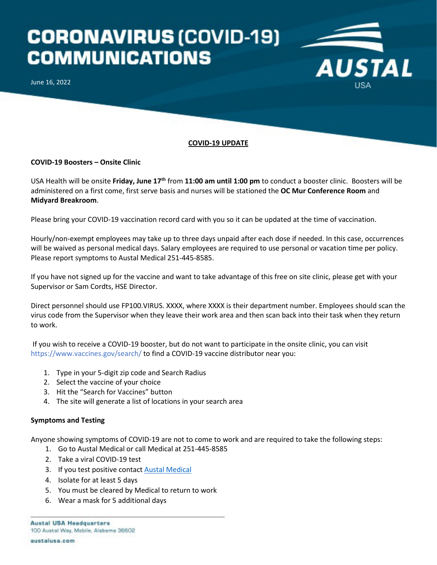## **CORONAVIRUS (COVID-19) COMMUNICATIONS**

June 16, 2022



**AUSTAL** 

## **COVID-19 Boosters – Onsite Clinic**

USA Health will be onsite **Friday, June 17th** from **11:00 am until 1:00 pm** to conduct a booster clinic. Boosters will be administered on a first come, first serve basis and nurses will be stationed the **OC Mur Conference Room** and **Midyard Breakroom**.

Please bring your COVID-19 vaccination record card with you so it can be updated at the time of vaccination.

Hourly/non-exempt employees may take up to three days unpaid after each dose if needed. In this case, occurrences will be waived as personal medical days. Salary employees are required to use personal or vacation time per policy. Please report symptoms to Austal Medical 251-445-8585.

If you have not signed up for the vaccine and want to take advantage of this free on site clinic, please get with your Supervisor or Sam Cordts, HSE Director.

Direct personnel should use FP100.VIRUS. XXXX, where XXXX is their department number. Employees should scan the virus code from the Supervisor when they leave their work area and then scan back into their task when they return to work.

If you wish to receive a COVID-19 booster, but do not want to participate in the onsite clinic, you can visit https://www.vaccines.gov/search/ to find a COVID-19 vaccine distributor near you:

- 1. Type in your 5-digit zip code and Search Radius
- 2. Select the vaccine of your choice
- 3. Hit the "Search for Vaccines" button
- 4. The site will generate a list of locations in your search area

## **Symptoms and Testing**

Anyone showing symptoms of COVID-19 are not to come to work and are required to take the following steps:

- 1. Go to Austal Medical or call Medical at 251-445-8585
- 2. Take a viral COVID-19 test
- 3. If you test positive contact **Austal Medical**
- 4. Isolate for at least 5 days
- 5. You must be cleared by Medical to return to work
- 6. Wear a mask for 5 additional days

**Austal USA Headquarters** 100 Austal Way, Mobile, Alabama 36602